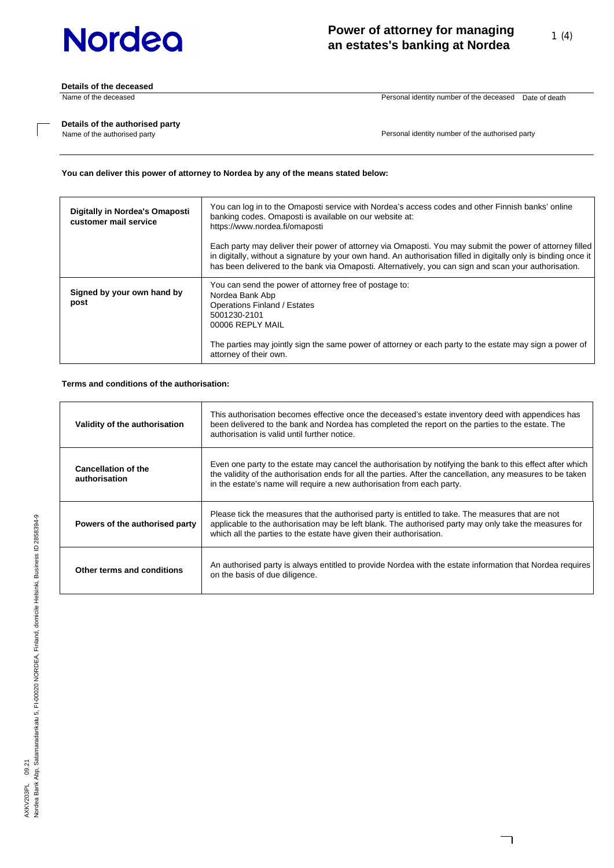**Details of the deceased**

Name of the deceased Personal identity number of the deceased Date of death

٦

### **Details of the authorised party**

Name of the authorised party

Personal identity number of the authorised party

### **You can deliver this power of attorney to Nordea by any of the means stated below:**

| Digitally in Nordea's Omaposti<br>customer mail service | You can log in to the Omaposti service with Nordea's access codes and other Finnish banks' online<br>banking codes. Omaposti is available on our website at:<br>https://www.nordea.fi/omaposti<br>Each party may deliver their power of attorney via Omaposti. You may submit the power of attorney filled<br>in digitally, without a signature by your own hand. An authorisation filled in digitally only is binding once it<br>has been delivered to the bank via Omaposti. Alternatively, you can sign and scan your authorisation. |
|---------------------------------------------------------|-----------------------------------------------------------------------------------------------------------------------------------------------------------------------------------------------------------------------------------------------------------------------------------------------------------------------------------------------------------------------------------------------------------------------------------------------------------------------------------------------------------------------------------------|
| Signed by your own hand by<br>post                      | You can send the power of attorney free of postage to:<br>Nordea Bank Abp<br>Operations Finland / Estates<br>5001230-2101<br>00006 REPLY MAIL<br>The parties may jointly sign the same power of attorney or each party to the estate may sign a power of<br>attorney of their own.                                                                                                                                                                                                                                                      |

### **Terms and conditions of the authorisation:**

| Validity of the authorisation               | This authorisation becomes effective once the deceased's estate inventory deed with appendices has<br>been delivered to the bank and Nordea has completed the report on the parties to the estate. The<br>authorisation is valid until further notice.                                               |
|---------------------------------------------|------------------------------------------------------------------------------------------------------------------------------------------------------------------------------------------------------------------------------------------------------------------------------------------------------|
| <b>Cancellation of the</b><br>authorisation | Even one party to the estate may cancel the authorisation by notifying the bank to this effect after which<br>the validity of the authorisation ends for all the parties. After the cancellation, any measures to be taken<br>in the estate's name will require a new authorisation from each party. |
| Powers of the authorised party              | Please tick the measures that the authorised party is entitled to take. The measures that are not<br>applicable to the authorisation may be left blank. The authorised party may only take the measures for<br>which all the parties to the estate have given their authorisation.                   |
| Other terms and conditions                  | An authorised party is always entitled to provide Nordea with the estate information that Nordea requires<br>on the basis of due diligence.                                                                                                                                                          |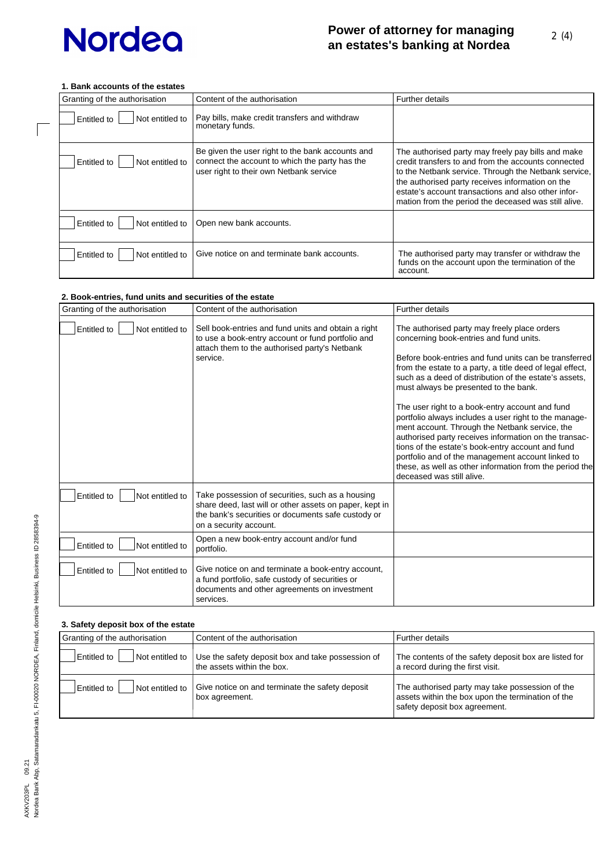### **1. Bank accounts of the estates**

 $\Box$ 

| Granting of the authorisation         | Content of the authorisation                                                                                                                  | <b>Further details</b>                                                                                                                                                                                                                                                                                                                 |
|---------------------------------------|-----------------------------------------------------------------------------------------------------------------------------------------------|----------------------------------------------------------------------------------------------------------------------------------------------------------------------------------------------------------------------------------------------------------------------------------------------------------------------------------------|
| Not entitled to<br>Entitled to        | Pay bills, make credit transfers and withdraw<br>monetary funds.                                                                              |                                                                                                                                                                                                                                                                                                                                        |
| Not entitled to<br>Entitled to        | Be given the user right to the bank accounts and<br>connect the account to which the party has the<br>user right to their own Netbank service | The authorised party may freely pay bills and make<br>credit transfers to and from the accounts connected<br>to the Netbank service. Through the Netbank service, I<br>the authorised party receives information on the<br>estate's account transactions and also other infor-<br>mation from the period the deceased was still alive. |
| <b>Entitled to</b><br>Not entitled to | Open new bank accounts.                                                                                                                       |                                                                                                                                                                                                                                                                                                                                        |
| <b>Entitled to</b><br>Not entitled to | Give notice on and terminate bank accounts.                                                                                                   | The authorised party may transfer or withdraw the<br>funds on the account upon the termination of the<br>account.                                                                                                                                                                                                                      |

### **2. Book-entries, fund units and securities of the estate**

| Granting of the authorisation         | Content of the authorisation                                                                                                                                                                | <b>Further details</b>                                                                                                                                                                                                                                                                                                                                                                                                                                                                                                                                                                                                                                                                                                                    |
|---------------------------------------|---------------------------------------------------------------------------------------------------------------------------------------------------------------------------------------------|-------------------------------------------------------------------------------------------------------------------------------------------------------------------------------------------------------------------------------------------------------------------------------------------------------------------------------------------------------------------------------------------------------------------------------------------------------------------------------------------------------------------------------------------------------------------------------------------------------------------------------------------------------------------------------------------------------------------------------------------|
| Entitled to<br>Not entitled to        | Sell book-entries and fund units and obtain a right<br>to use a book-entry account or fund portfolio and<br>attach them to the authorised party's Netbank<br>service.                       | The authorised party may freely place orders<br>concerning book-entries and fund units.<br>Before book-entries and fund units can be transferred<br>from the estate to a party, a title deed of legal effect,<br>such as a deed of distribution of the estate's assets.<br>must always be presented to the bank.<br>The user right to a book-entry account and fund<br>portfolio always includes a user right to the manage-<br>ment account. Through the Netbank service, the<br>authorised party receives information on the transac-<br>tions of the estate's book-entry account and fund<br>portfolio and of the management account linked to<br>these, as well as other information from the period the<br>deceased was still alive. |
| <b>Entitled to</b><br>Not entitled to | Take possession of securities, such as a housing<br>share deed, last will or other assets on paper, kept in<br>the bank's securities or documents safe custody or<br>on a security account. |                                                                                                                                                                                                                                                                                                                                                                                                                                                                                                                                                                                                                                                                                                                                           |
| Entitled to<br>Not entitled to        | Open a new book-entry account and/or fund<br>portfolio.                                                                                                                                     |                                                                                                                                                                                                                                                                                                                                                                                                                                                                                                                                                                                                                                                                                                                                           |
| Entitled to<br>Not entitled to        | Give notice on and terminate a book-entry account,<br>a fund portfolio, safe custody of securities or<br>documents and other agreements on investment<br>services.                          |                                                                                                                                                                                                                                                                                                                                                                                                                                                                                                                                                                                                                                                                                                                                           |

### **3. Safety deposit box of the estate**

| Granting of the authorisation                                                                       | Content of the authorisation                                                    | <b>Further details</b>                                                                                                                |  |
|-----------------------------------------------------------------------------------------------------|---------------------------------------------------------------------------------|---------------------------------------------------------------------------------------------------------------------------------------|--|
| Not entitled to<br>Entitled to                                                                      | Use the safety deposit box and take possession of<br>the assets within the box. | The contents of the safety deposit box are listed for<br>a record during the first visit.                                             |  |
| Give notice on and terminate the safety deposit<br>Not entitled to<br>Entitled to<br>box agreement. |                                                                                 | The authorised party may take possession of the<br>assets within the box upon the termination of the<br>safety deposit box agreement. |  |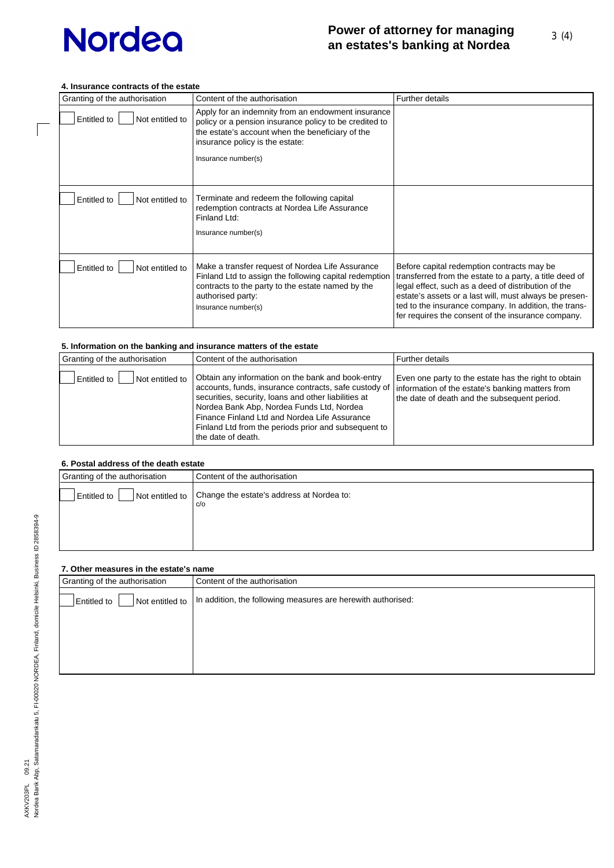### **4. Insurance contracts of the estate**

 $\sqrt{ }$ 

| Granting of the authorisation  | Content of the authorisation                                                                                                                                                                                               | <b>Further details</b>                                                                                                                                                                                                                                                                                                                |
|--------------------------------|----------------------------------------------------------------------------------------------------------------------------------------------------------------------------------------------------------------------------|---------------------------------------------------------------------------------------------------------------------------------------------------------------------------------------------------------------------------------------------------------------------------------------------------------------------------------------|
| Entitled to<br>Not entitled to | Apply for an indemnity from an endowment insurance<br>policy or a pension insurance policy to be credited to<br>the estate's account when the beneficiary of the<br>insurance policy is the estate:<br>Insurance number(s) |                                                                                                                                                                                                                                                                                                                                       |
| Entitled to<br>Not entitled to | Terminate and redeem the following capital<br>redemption contracts at Nordea Life Assurance<br>Finland Ltd:<br>Insurance number(s)                                                                                         |                                                                                                                                                                                                                                                                                                                                       |
| Entitled to<br>Not entitled to | Make a transfer request of Nordea Life Assurance<br>Finland Ltd to assign the following capital redemption<br>contracts to the party to the estate named by the<br>authorised party:<br>Insurance number(s)                | Before capital redemption contracts may be<br>transferred from the estate to a party, a title deed of<br>legal effect, such as a deed of distribution of the<br>estate's assets or a last will, must always be presen-<br>ted to the insurance company. In addition, the trans-<br>fer requires the consent of the insurance company. |

### **5. Information on the banking and insurance matters of the estate**

| Granting of the authorisation  | Content of the authorisation                                                                                                                                                                                                                                                                                                                                                                      | Further details                                                                                      |
|--------------------------------|---------------------------------------------------------------------------------------------------------------------------------------------------------------------------------------------------------------------------------------------------------------------------------------------------------------------------------------------------------------------------------------------------|------------------------------------------------------------------------------------------------------|
| Not entitled to<br>Entitled to | Obtain any information on the bank and book-entry<br>accounts, funds, insurance contracts, safe custody of   information of the estate's banking matters from<br>securities, security, loans and other liabilities at<br>Nordea Bank Abp, Nordea Funds Ltd, Nordea<br>Finance Finland Ltd and Nordea Life Assurance<br>Finland Ltd from the periods prior and subsequent to<br>the date of death. | Even one party to the estate has the right to obtain<br>the date of death and the subsequent period. |

### **6. Postal address of the death estate**

| v. I Ostal duultse ol tiit utdul telatt |                                                  |
|-----------------------------------------|--------------------------------------------------|
| Granting of the authorisation           | Content of the authorisation                     |
| Not entitled to<br><b>Entitled to</b>   | Change the estate's address at Nordea to:<br>C/O |
|                                         |                                                  |

## **7. Other measures in the estate's name**

| Granting of the authorisation         | Content of the authorisation                                 |
|---------------------------------------|--------------------------------------------------------------|
| Not entitled to<br><b>Entitled to</b> | In addition, the following measures are herewith authorised: |
|                                       |                                                              |
|                                       |                                                              |
|                                       |                                                              |
|                                       |                                                              |